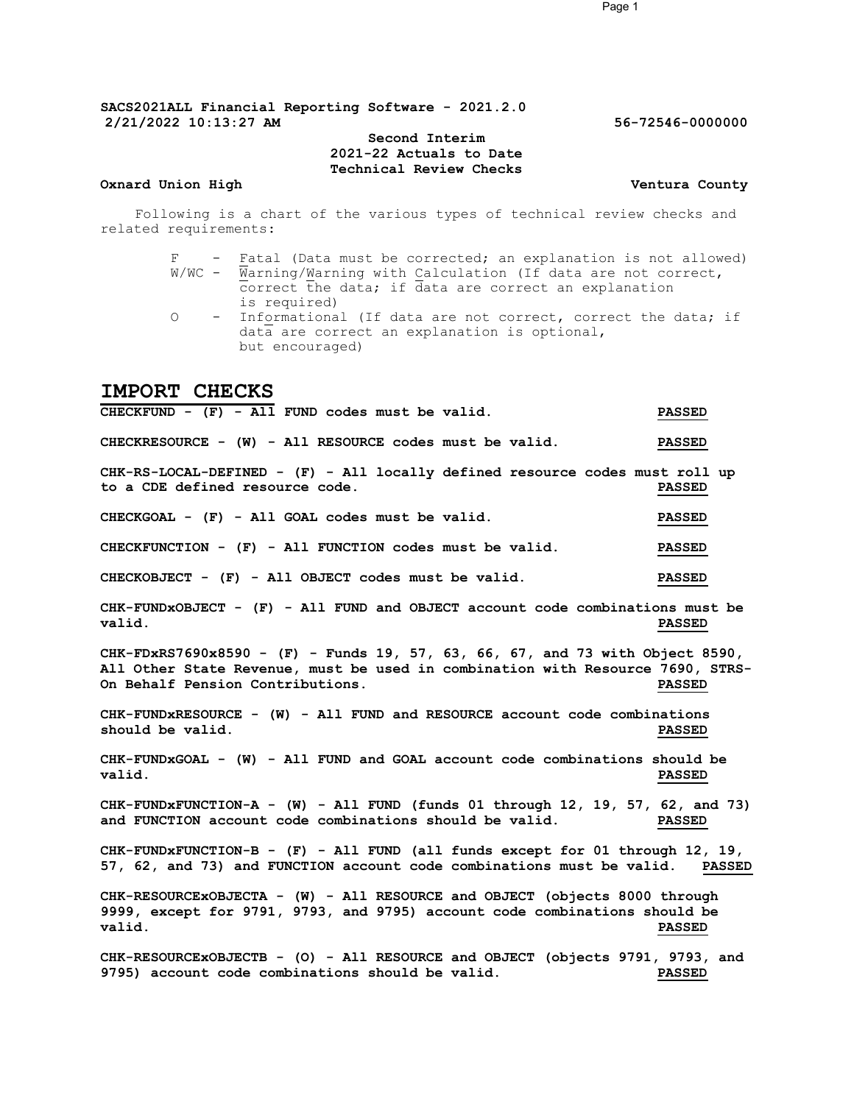### Second Interim 2021-22 Actuals to Date Technical Review Checks

#### Oxnard Union High Ventura County

Following is a chart of the various types of technical review checks and related requirements:

- F Fatal (Data must be corrected; an explanation is not allowed)  $W/WC$  -  $\overline{W}$ arning/ $W$ arning with Calculation (If data are not correct, correct the data; if data are correct an explanation is required)
- O Informational (If data are not correct, correct the data; if data are correct an explanation is optional, but encouraged)

## IMPORT CHECKS

CHECKFUND - (F) - All FUND codes must be valid. PASSED CHECKRESOURCE - (W) - All RESOURCE codes must be valid. PASSED CHK-RS-LOCAL-DEFINED - (F) - All locally defined resource codes must roll up to a CDE defined resource code. PASSED CHECKGOAL - (F) - All GOAL codes must be valid. PASSED CHECKFUNCTION - (F) - All FUNCTION codes must be valid. PASSED CHECKOBJECT - (F) - All OBJECT codes must be valid. PASSED CHK-FUNDxOBJECT - (F) - All FUND and OBJECT account code combinations must be valid. PASSED CHK-FDxRS7690x8590 - (F) - Funds 19, 57, 63, 66, 67, and 73 with Object 8590, All Other State Revenue, must be used in combination with Resource 7690, STRS-<br>On Behalf Pension Contributions. This resource a passed On Behalf Pension Contributions. CHK-FUNDxRESOURCE - (W) - All FUND and RESOURCE account code combinations should be valid. The value of the state of the state of the state of the state of the state of the state of the state of the state of the state of the state of the state of the state of the state of the state of the state CHK-FUNDxGOAL - (W) - All FUND and GOAL account code combinations should be valid. PASSED CHK-FUNDxFUNCTION-A - (W) - All FUND (funds 01 through 12, 19, 57, 62, and 73) and FUNCTION account code combinations should be valid. PASSED CHK-FUNDxFUNCTION-B - (F) - All FUND (all funds except for 01 through 12, 19, 57, 62, and 73) and FUNCTION account code combinations must be valid. PASSED CHK-RESOURCExOBJECTA - (W) - All RESOURCE and OBJECT (objects 8000 through 9999, except for 9791, 9793, and 9795) account code combinations should be valid. PASSED CHK-RESOURCEXOBJECTB - (O) - All RESOURCE and OBJECT (objects 9791, 9793, and 9795) cccount code combinations should be valid. 9795) account code combinations should be valid.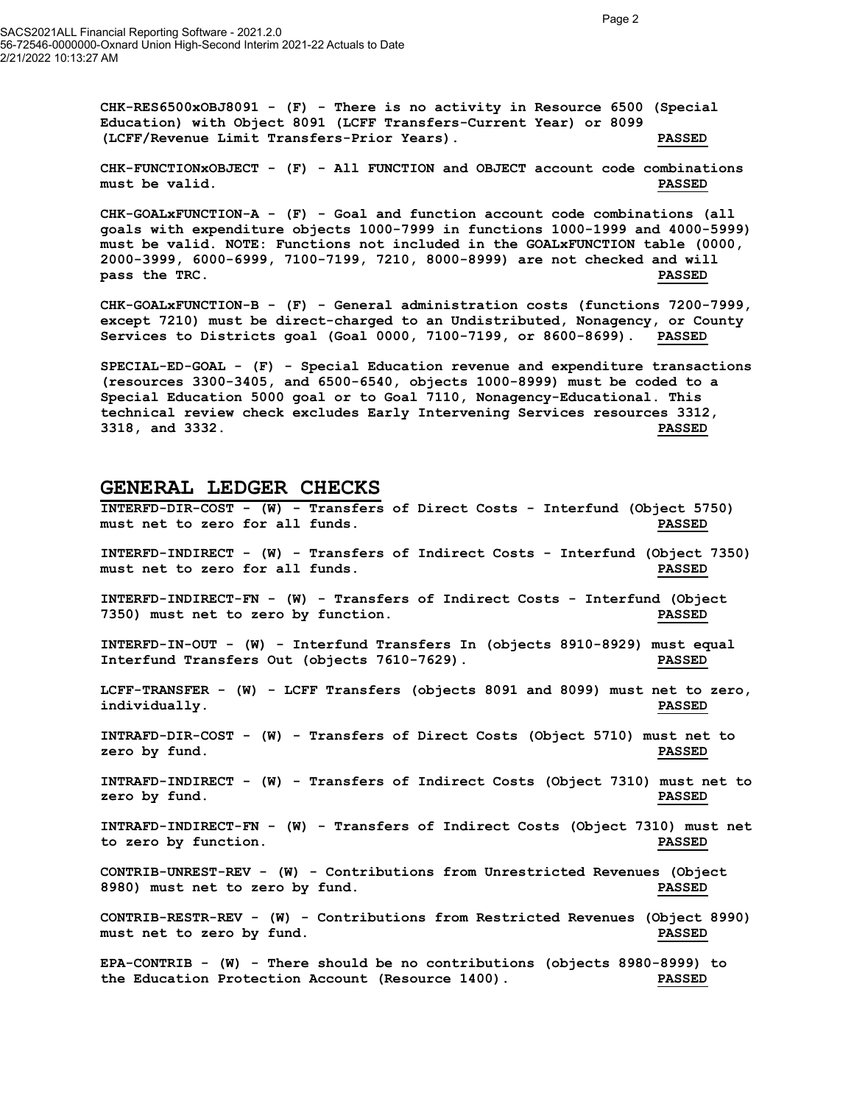$CHK-RES6500xOBJ8091$  - (F) - There is no activity in Resource 6500 (Special Education) with Object 8091 (LCFF Transfers-Current Year) or 8099 (LCFF/Revenue Limit Transfers-Prior Years). PASSED

CHK-FUNCTIONxOBJECT - (F) - All FUNCTION and OBJECT account code combinations must be valid. PASSED

CHK-GOALxFUNCTION-A - (F) - Goal and function account code combinations (all goals with expenditure objects 1000-7999 in functions 1000-1999 and 4000-5999) must be valid. NOTE: Functions not included in the GOALxFUNCTION table (0000, 2000-3999, 6000-6999, 7100-7199, 7210, 8000-8999) are not checked and will pass the TRC. The Communication of the Communication of the Communication of the Communication of the Communication of the Communication of the Communication of the Communication of the Communication of the Communication o

CHK-GOALxFUNCTION-B - (F) - General administration costs (functions 7200-7999, except 7210) must be direct-charged to an Undistributed, Nonagency, or County Services to Districts goal (Goal 0000, 7100-7199, or 8600-8699). PASSED

SPECIAL-ED-GOAL - (F) - Special Education revenue and expenditure transactions (resources 3300-3405, and 6500-6540, objects 1000-8999) must be coded to a Special Education 5000 goal or to Goal 7110, Nonagency-Educational. This technical review check excludes Early Intervening Services resources 3312, 3318, and 3332. PASSED

## GENERAL LEDGER CHECKS

INTERFD-DIR-COST - (W) - Transfers of Direct Costs - Interfund (Object 5750) must net to zero for all funds. PASSED INTERFD-INDIRECT - (W) - Transfers of Indirect Costs - Interfund (Object 7350) must net to zero for all funds. PASSED INTERFD-INDIRECT-FN - (W) - Transfers of Indirect Costs - Interfund (Object 7350) must net to zero by function. PASSED INTERFD-IN-OUT - (W) - Interfund Transfers In (objects 8910-8929) must equal Interfund Transfers Out (objects 7610-7629). PASSED LCFF-TRANSFER - (W) - LCFF Transfers (objects 8091 and 8099) must net to zero, individually. PASSED INTRAFD-DIR-COST - (W) - Transfers of Direct Costs (Object 5710) must net to zero by fund. Notice that the set of the set of the set of the set of the set of the set of the set of the set o INTRAFD-INDIRECT - (W) - Transfers of Indirect Costs (Object 7310) must net to zero by fund. Notice that the extent of the extent of the extent of the extent of the extent of the extent of the extent of the extent of the extent of the extent of the extent of the extent of the extent of the extent of INTRAFD-INDIRECT-FN - (W) - Transfers of Indirect Costs (Object 7310) must net to zero by function. PASSED CONTRIB-UNREST-REV - (W) - Contributions from Unrestricted Revenues (Object 8980) must net to zero by fund. PASSED CONTRIB-RESTR-REV - (W) - Contributions from Restricted Revenues (Object 8990) must net to zero by fund. The set of the set of the set of the set of the set of the set of the set of the set of the set of the set of the set of the set of the set of the set of the set of the set of the set of the set o EPA-CONTRIB - (W) - There should be no contributions (objects 8980-8999) to

the Education Protection Account (Resource 1400). PASSED